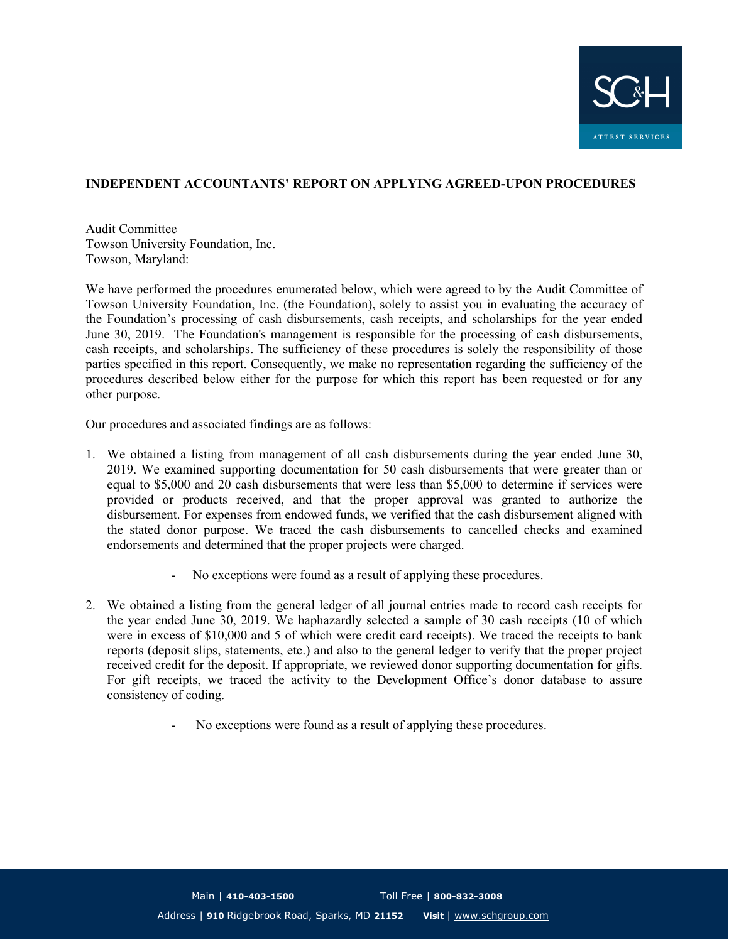

## INDEPENDENT ACCOUNTANTS' REPORT ON APPLYING AGREED-UPON PROCEDURES

Audit Committee Towson University Foundation, Inc. Towson, Maryland:

We have performed the procedures enumerated below, which were agreed to by the Audit Committee of Towson University Foundation, Inc. (the Foundation), solely to assist you in evaluating the accuracy of the Foundation's processing of cash disbursements, cash receipts, and scholarships for the year ended June 30, 2019. The Foundation's management is responsible for the processing of cash disbursements, cash receipts, and scholarships. The sufficiency of these procedures is solely the responsibility of those parties specified in this report. Consequently, we make no representation regarding the sufficiency of the procedures described below either for the purpose for which this report has been requested or for any other purpose.

Our procedures and associated findings are as follows:

- 1. We obtained a listing from management of all cash disbursements during the year ended June 30, 2019. We examined supporting documentation for 50 cash disbursements that were greater than or equal to \$5,000 and 20 cash disbursements that were less than \$5,000 to determine if services were provided or products received, and that the proper approval was granted to authorize the disbursement. For expenses from endowed funds, we verified that the cash disbursement aligned with the stated donor purpose. We traced the cash disbursements to cancelled checks and examined endorsements and determined that the proper projects were charged.
	- No exceptions were found as a result of applying these procedures.
- 2. We obtained a listing from the general ledger of all journal entries made to record cash receipts for the year ended June 30, 2019. We haphazardly selected a sample of 30 cash receipts (10 of which were in excess of \$10,000 and 5 of which were credit card receipts). We traced the receipts to bank reports (deposit slips, statements, etc.) and also to the general ledger to verify that the proper project received credit for the deposit. If appropriate, we reviewed donor supporting documentation for gifts. For gift receipts, we traced the activity to the Development Office's donor database to assure consistency of coding.
	- No exceptions were found as a result of applying these procedures.